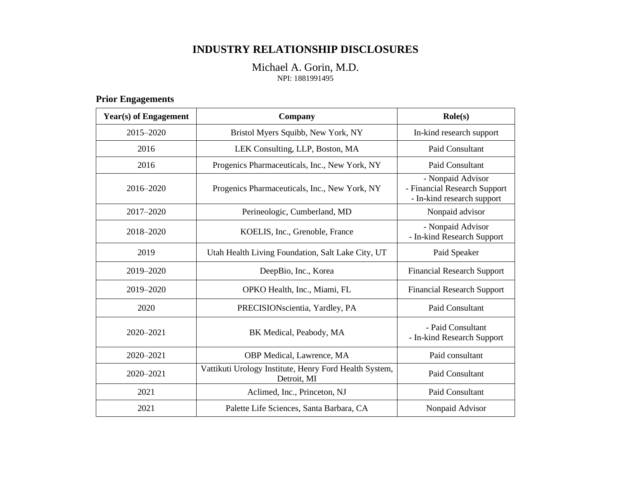## **INDUSTRY RELATIONSHIP DISCLOSURES**

#### Michael A. Gorin, M.D. NPI: 1881991495

### **Prior Engagements**

| <b>Year(s)</b> of Engagement | Company                                                               | $\text{Role}(s)$                                                                |  |
|------------------------------|-----------------------------------------------------------------------|---------------------------------------------------------------------------------|--|
| 2015-2020                    | Bristol Myers Squibb, New York, NY                                    | In-kind research support                                                        |  |
| 2016                         | LEK Consulting, LLP, Boston, MA                                       | Paid Consultant                                                                 |  |
| 2016                         | Progenics Pharmaceuticals, Inc., New York, NY                         | Paid Consultant                                                                 |  |
| 2016-2020                    | Progenics Pharmaceuticals, Inc., New York, NY                         | - Nonpaid Advisor<br>- Financial Research Support<br>- In-kind research support |  |
| 2017-2020                    | Perineologic, Cumberland, MD                                          | Nonpaid advisor                                                                 |  |
| 2018-2020                    | KOELIS, Inc., Grenoble, France                                        | - Nonpaid Advisor<br>- In-kind Research Support                                 |  |
| 2019                         | Utah Health Living Foundation, Salt Lake City, UT                     | Paid Speaker                                                                    |  |
| 2019-2020                    | DeepBio, Inc., Korea                                                  | <b>Financial Research Support</b>                                               |  |
| 2019-2020                    | OPKO Health, Inc., Miami, FL                                          | <b>Financial Research Support</b>                                               |  |
| 2020                         | PRECISIONscientia, Yardley, PA                                        | Paid Consultant                                                                 |  |
| 2020-2021                    | BK Medical, Peabody, MA                                               | - Paid Consultant<br>- In-kind Research Support                                 |  |
| $2020 - 2021$                | OBP Medical, Lawrence, MA                                             | Paid consultant                                                                 |  |
| 2020-2021                    | Vattikuti Urology Institute, Henry Ford Health System,<br>Detroit, MI | Paid Consultant                                                                 |  |
| 2021                         | Aclimed, Inc., Princeton, NJ                                          | Paid Consultant                                                                 |  |
| 2021                         | Palette Life Sciences, Santa Barbara, CA                              | Nonpaid Advisor                                                                 |  |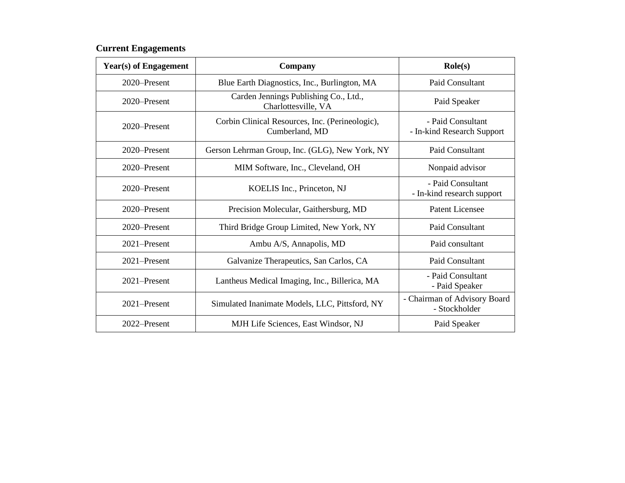### **Current Engagements**

| Year(s) of Engagement | <b>Company</b>                                                    | $\text{Role}(s)$                                |  |
|-----------------------|-------------------------------------------------------------------|-------------------------------------------------|--|
| 2020–Present          | Blue Earth Diagnostics, Inc., Burlington, MA                      | Paid Consultant                                 |  |
| 2020–Present          | Carden Jennings Publishing Co., Ltd.,<br>Charlottesville, VA      | Paid Speaker                                    |  |
| 2020–Present          | Corbin Clinical Resources, Inc. (Perineologic),<br>Cumberland, MD | - Paid Consultant<br>- In-kind Research Support |  |
| 2020–Present          | Gerson Lehrman Group, Inc. (GLG), New York, NY                    | Paid Consultant                                 |  |
| 2020–Present          | MIM Software, Inc., Cleveland, OH                                 | Nonpaid advisor                                 |  |
| 2020–Present          | KOELIS Inc., Princeton, NJ                                        | - Paid Consultant<br>- In-kind research support |  |
| 2020–Present          | Precision Molecular, Gaithersburg, MD                             | <b>Patent Licensee</b>                          |  |
| 2020–Present          | Third Bridge Group Limited, New York, NY                          | Paid Consultant                                 |  |
| 2021-Present          | Ambu A/S, Annapolis, MD                                           | Paid consultant                                 |  |
| $2021 -$ Present      | Galvanize Therapeutics, San Carlos, CA                            | Paid Consultant                                 |  |
| 2021-Present          | Lantheus Medical Imaging, Inc., Billerica, MA                     | - Paid Consultant<br>- Paid Speaker             |  |
| $2021 -$ Present      | Simulated Inanimate Models, LLC, Pittsford, NY                    | - Chairman of Advisory Board<br>- Stockholder   |  |
| 2022-Present          | MJH Life Sciences, East Windsor, NJ                               | Paid Speaker                                    |  |